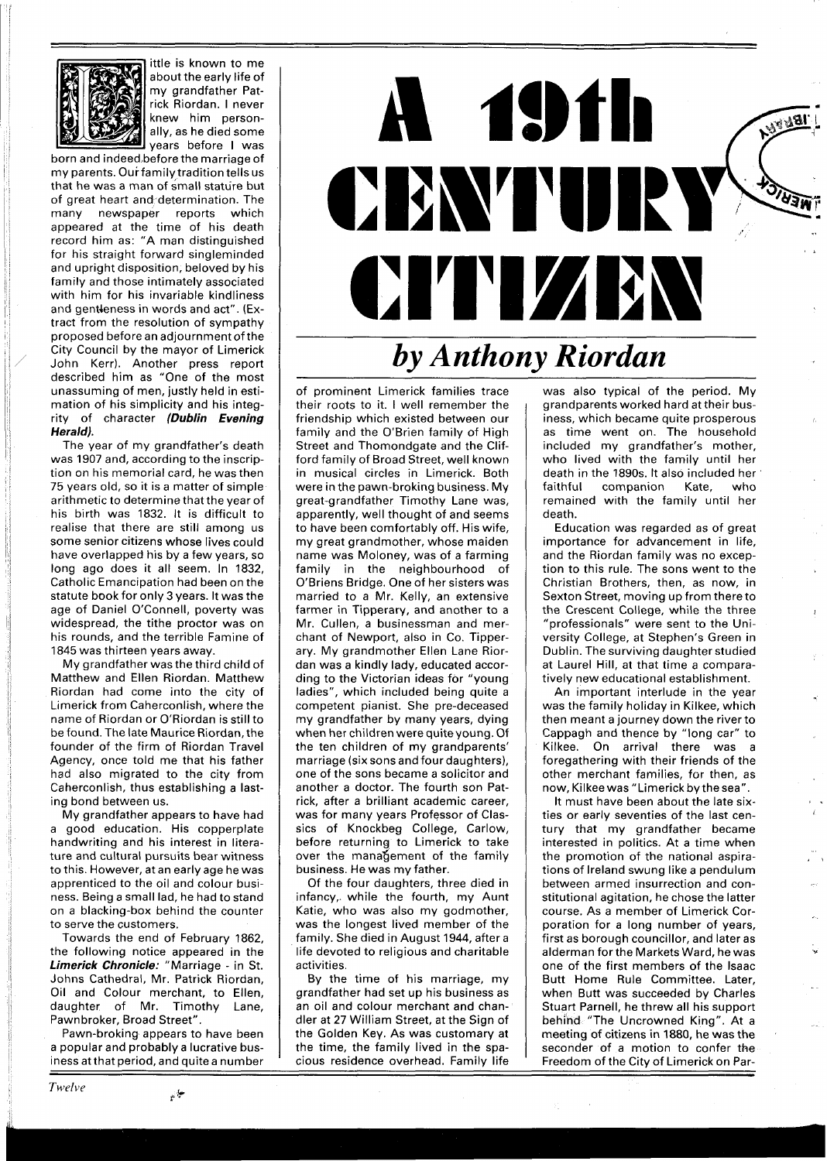

ittle is known to me about the early life of my grandfather Patrick Riordan. I never knew him personally, as he died some years before I was

born and indeed,before the marriage of my parents. Our family tradition tells us that he was a man of small stature but of great heart and determination. The many newspaper reports which appeared at the time of his death record him as: "A man distinguished for his straight forward singleminded and upright disposition, beloved by his family and those intimately associated with him for his invariable kindliness and gentleness in words and act". (Extract from the resolution of sympathy proposed before an adjournment of the City Council by the mayor of Limerick John Kerr). Another press report described him as "One of the most unassuming of men, justly held in estimation of his simplicity and his integrity of character **(Dublin Evening Herald).** 

The year of my grandfather's death was 1907 and, according to the inscription on his memorial card, he was then 75 years old, so it is a matter of simple arithmetic to determine that the year of his birth was 1832. It is difficult to realise that there are still among us some senior citizens whose lives could have overlapped his by a few years, so long ago does it all seem. In 1832, Catholic Emancipation had been on the statute book for only 3 years. It was the age of Daniel O'Connell, poverty was widespread, the tithe proctor was on his rounds, and the terrible Famine of 1845 was thirteen years away.

My grandfather was the third child of Matthew and Ellen Riordan. Matthew Riordan had come into the city of Limerick from Caherconlish, where the name of Riordan or O'Riordan is still to be found. The late Maurice Riordan, the founder of the firm of Riordan Travel Agency, once told me that his father had also migrated to the city from Caherconlish, thus establishing a lasting bond between us.

My grandfather appears to have had a good education. His copperplate handwriting and his interest in literature and cultural pursuits bear witness to this. However, at an early age he was apprenticed to the oil and colour business. Being a small lad, he had to stand on a blacking-box behind the counter to serve the customers.

Towards the end of February 1862, the following notice appeared in the **Limerick Chronicle:** "Marriage - in St. Johns Cathedral, Mr. Patrick Riordan, Oil and Colour merchant, to Ellen, daughter of Mr. Timothy Lane, Pawnbroker, Broad Street".

Pawn-broking appears to have been a popular and probably a lucrative business at that period, and quite a number

**19th A** CBWTURY **CITYLIZEN** *by Anthony Riordan* 

of prominent Limerick families trace their roots to it. I well remember the friendship which existed between our family and the O'Brien family of High Street and Thomondgate and the Clifford family of Broad Street, well known in musical circles in Limerick. Both were in the pawn-broking business. My great-grandfather Timothy Lane was, apparently, well thought of and seems to have been comfortably off. His wife, my great grandmother, whose maiden name was Moloney, was of a farming family in the neighbourhood of O'Briens Bridge. One of her sisters was married to a Mr. Kelly, an extensive farmer in Tipperary, and another to a Mr. Cullen, a businessman and merchant of Newport, also in Co. Tipperary. My grandmother Ellen Lane Riordan was a kindly lady, educated according to the Victorian ideas for "young ladies", which included being quite a competent pianist. She pre-deceased my grandfather by many years, dying when her children were quite young. Of the ten children of my grandparents' marriage (six sons and four daughters), one of the sons became a solicitor and another a doctor. The fourth son Patrick, after a brilliant academic career, was for many years Professor of Classics of Knockbeg College, Carlow, before returning to Limerick to take over the manafjement of the family business. He was my father.

Of the four daughters, three died in infancy,. while the fourth, my Aunt Katie, who was also my godmother, was the longest lived member of the family. She died in August 1944, after a life devoted to religious and charitable activities.

By the time of his marriage, my grandfather had set up his business as an oil and colour merchant and chandler at 27 William Street, at the Sign of the Golden Key. As was customary at the time, the family lived in the spacious residence overhead. Family life

was also typical of the period. My grandparents worked hard at their business, which became quite prosperous as time went on. The household included my grandfather's mother, who lived with the family until her death in the 1890s. It also included her faithful companion Kate, who remained with the family until her death.

Education was regarded as of great importance for advancement in life, and the Riordan family was no exception to this rule. The sons went to the Christian Brothers, then, as now, in Sexton Street, moving up from there to the Crescent College, while the three "professionals" were sent to the University College, at Stephen's Green in Dublin. The surviving daughter studied at Laurel Hill, at that time a comparatively new educational establishment.

An important interlude in the year was the family holiday in Kilkee, which then meant a journey down the river to Cappagh and thence by "long car" to Kilkee. On arrival there was a foregathering with their friends of the other merchant families, for then, as now, Kilkee was "Limerick by the sea".

It must have been about the late sixties or early seventies of the last century that my grandfather became interested in politics. At a time when the promotion of the national aspirations of Ireland swung like a pendulum between armed insurrection and constitutional agitation, he chose the latter course. As a member of Limerick Corporation for a long number of years, first as borough councillor, and later as alderman for the Markets Ward, he was one of the first members of the lsaac Butt Home Rule Committee. Later, when Butt was succeeded by Charles Stuart Parnell, he threw all his support behind "The Uncrowned King". At a meeting of citizens in 1880, he was the seconder of a motion to confer the Freedom of the City of Limerick on Par-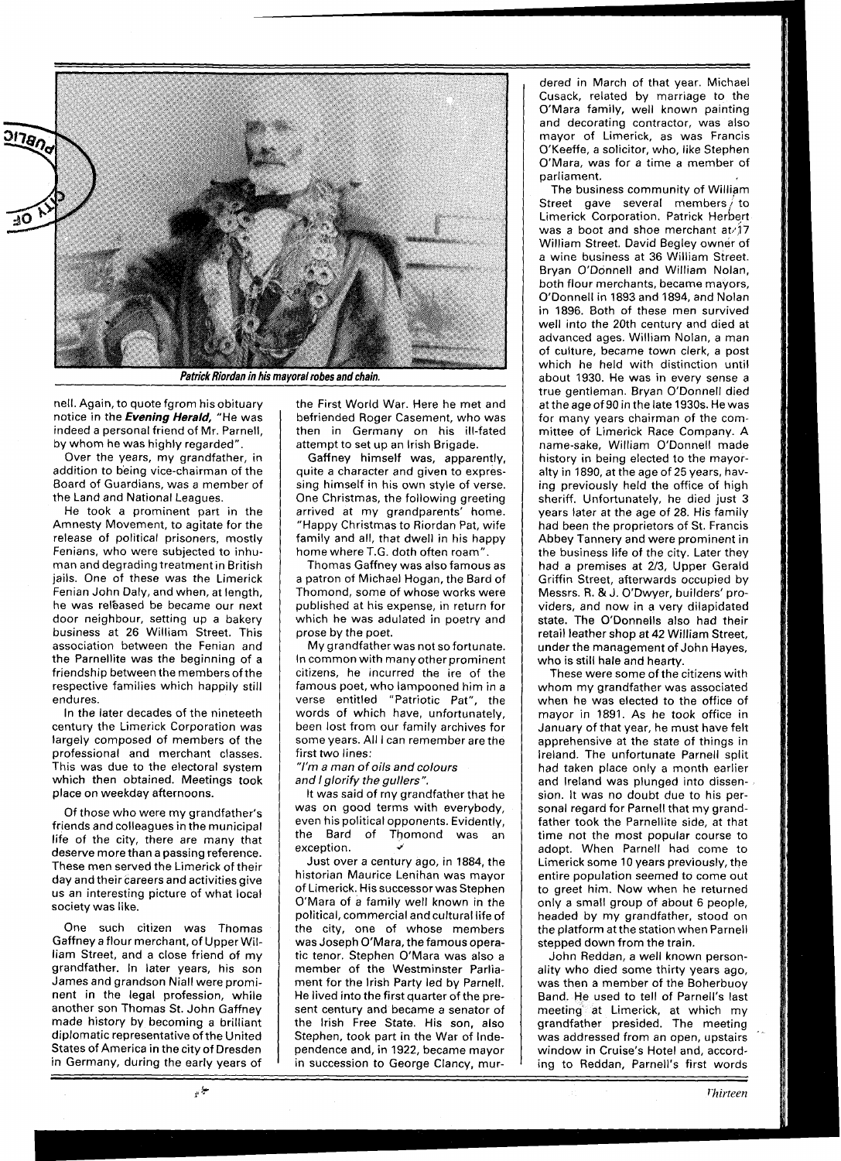

**Patrick Riordan in his mayoral robes and chain.** 

nell. Again, to quote fgrom his obituary notice in the **Evening Herald,** "He was indeed a personal friend of Mr. Parnell, by whom he was highly regarded".

Over the years, my grandfather, in addition to being vice-chairman of the Board of Guardians, was a member of the Land and National Leagues.

He took a prominent part in the Amnesty Movement, to agitate for the release of political prisoners, mostly Fenians, who were subjected to inhuman and degrading treatment in British jails. One of these was the Limerick Fenian John Daly, and when, at length, he was released be became our next door neighbour, setting up a bakery business at 26 William Street. This association between the Fenian and the Parnellite was the beginning of a friendship between the members of the respective families which happily still endures.

In the later decades of the nineteeth century the Limerick Corporation was largely composed of members of the professional and merchant classes. This was due to the electoral system which then obtained. Meetings took place on weekday afternoons.

Of those who were my grandfather's friends and colleagues in the municipal life of the city, there are many that deserve more than a passing reference. These men served the Limerick of their day and their careers and activities give us an interesting picture of what local society was like.

One such citizen was Thomas Gaffney a flour merchant, of Upper William Street, and a close friend of my grandfather. In later years, his son James and grandson Niall were prominent in the legal profession, while another son Thomas St. John Gaffney made history by becoming a brilliant diplomatic representative of the United States of America in the city of Dresden in Germany, during the early years of the First World War. Here he met and befriended Roger Casement, who was then in Germany on his ill-fated attempt to set up an lrish Brigade.

Gaffney himself was, apparently, quite a character and given to expressing himself in his own style of verse. One Christmas, the following greeting arrived at my grandparents' home. "Happy Christmas to Riordan Pat, wife family and all, that dwell in his happy home where T.G. doth often roam".

Thomas Gaffney was also famous as a patron of Michael Hogan, the Bard of Thomond, some of whose works were published at his expense, in return for which he was adulated in poetry and prose by the poet.

My grandfather was not so fortunate. In common with many other prominent citizens, he incurred the ire of the famous poet, who lampooned him in a verse entitled "Patriotic Pat", the words of which have, unfortunately, been lost from our family archives for some years. All I can remember are the first two lines:

"I'm a *man* of oils *and* colours *and* I glorify the gullers ".

It was said of my grandfather that he was on good terms with everybody, even his political opponents. Evidently, the Bard of Thomond was an exception. **i** 

Just over a century ago, in 1884, the historian Maurice Lenihan was mayor of Limerick. His successor was Stephen O'Mara of a family well known in the political, commercial and cultural life of the city, one of whose members was Joseph O'Mara, the famous operatic tenor. Stephen O'Mara was also a member of the Westminster Parliament for the lrish Party led by Parnell. He lived into the first quarter of the present century and became a senator of the lrish Free State. His son, also Stephen, took part in the War of Independence and, in 1922, became mayor in succession to George Clancy, mur-

dered in March of that year. Michael Cusack, related by marriage to the O'Mara family, well known painting and decorating contractor, was also mayor of Limerick, as was Francis O'Keeffe, a solicitor, who, like Stephen O'Mara, was for a time a member of parliament.

The business community of William Street gave several members to Limerick Corporation. Patrick Herbert was a boot and shoe merchant at  $17$ William Street. David Begley owner of a wine business at 36 William Street. Bryan O'Donnell and William Nolan, both flour merchants, became mayors, O'Donnell in 1893 and 1894, and Nolan in 1896. Both of these men survived well into the 20th century and died at advanced ages. William Nolan, a man of culture, became town clerk, a post which he held with distinction until about 1930. He was in every sense a true gentleman. Bryan O'Donnell died at the age of 90 in the late 1930s. He was for many years chairman of the committee of Limerick Race Company. A name-sake, William O'Donnell made history in being elected to the mayoralty in 1890, at the age of 25 years, having previously held the office of high sheriff. Unfortunately, he died just 3 years later at the age of 28. His family had been the proprietors of St. Francis Abbey Tannery and were prominent in the business life of the city. Later they had a premises at **2/3,** Upper Gerald Griffin Street, afterwards occupied by Messrs. R. & J. O'Dwyer, builders' providers, and now in a very dilapidated state. The O'Donnells also had their retail leather shop at 42 William Street, under the management of John Hayes, who is still hale and hearty.

These were some of the citizens with whom my grandfather was associated when he was elected to the office of mayor in 1891. As he took office in January of that year, he must have felt apprehensive at the state of things in Ireland. The unfortunate Parnell split had taken place only a month earlier and Ireland was plunged into dissension. It was no doubt due to his personal regard for Parnell that my grandfather took the Parnellite side, at that time not the most popular course to adopt. When Parnell had come to Limerick some 10 years previously, the entire population seemed to come out to greet him. Now when he returned only a small group of about 6 people, headed by my grandfather, stood on the platform atthe station when Parnell stepped down from the train.

John Reddan, a well known personality who died some thirty years ago, was then a member of the Boherbuoy Band. He used to tell of Parnell's last meeting at Limerick, at which my grandfather presided. The meeting was addressed from an open, upstairs window in Cruise's Hotel and, according to Reddan, Parnell's first words